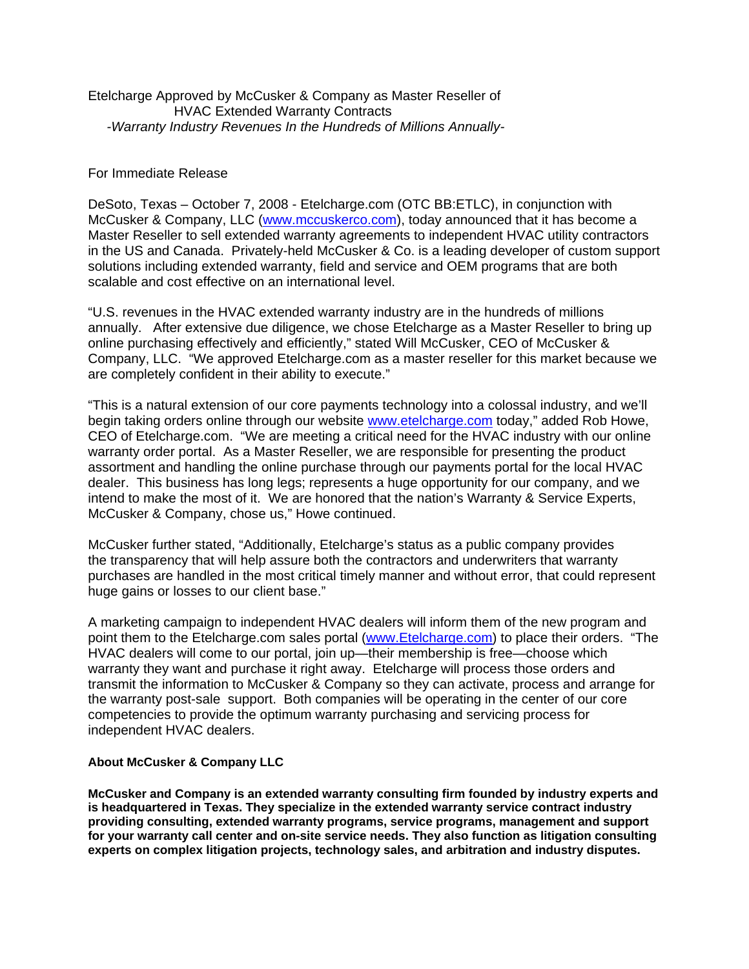Etelcharge Approved by McCusker & Company as Master Reseller of HVAC Extended Warranty Contracts  *-Warranty Industry Revenues In the Hundreds of Millions Annually-*

## For Immediate Release

DeSoto, Texas – October 7, 2008 - Etelcharge.com (OTC BB:ETLC), in conjunction with McCusker & Company, LLC ([www.mccuskerco.com](http://www.mccuskerco.com/)), today announced that it has become a Master Reseller to sell extended warranty agreements to independent HVAC utility contractors in the US and Canada. Privately-held McCusker & Co. is a leading developer of custom support solutions including extended warranty, field and service and OEM programs that are both scalable and cost effective on an international level.

"U.S. revenues in the HVAC extended warranty industry are in the hundreds of millions annually. After extensive due diligence, we chose Etelcharge as a Master Reseller to bring up online purchasing effectively and efficiently," stated Will McCusker, CEO of McCusker & Company, LLC. "We approved Etelcharge.com as a master reseller for this market because we are completely confident in their ability to execute."

"This is a natural extension of our core payments technology into a colossal industry, and we'll begin taking orders online through our website [www.etelcharge.com](http://www.etelcharge.com/) today," added Rob Howe, CEO of Etelcharge.com. "We are meeting a critical need for the HVAC industry with our online warranty order portal. As a Master Reseller, we are responsible for presenting the product assortment and handling the online purchase through our payments portal for the local HVAC dealer. This business has long legs; represents a huge opportunity for our company, and we intend to make the most of it. We are honored that the nation's Warranty & Service Experts, McCusker & Company, chose us," Howe continued.

McCusker further stated, "Additionally, Etelcharge's status as a public company provides the transparency that will help assure both the contractors and underwriters that warranty purchases are handled in the most critical timely manner and without error, that could represent huge gains or losses to our client base."

A marketing campaign to independent HVAC dealers will inform them of the new program and point them to the Etelcharge.com sales portal [\(www.Etelcharge.com\)](http://www.etelcharge.com/) to place their orders. "The HVAC dealers will come to our portal, join up—their membership is free—choose which warranty they want and purchase it right away. Etelcharge will process those orders and transmit the information to McCusker & Company so they can activate, process and arrange for the warranty post-sale support. Both companies will be operating in the center of our core competencies to provide the optimum warranty purchasing and servicing process for independent HVAC dealers.

## **About McCusker & Company LLC**

**McCusker and Company is an extended warranty consulting firm founded by industry experts and is headquartered in Texas. They specialize in the extended warranty service contract industry providing consulting, extended warranty programs, service programs, management and support for your warranty call center and on-site service needs. They also function as litigation consulting experts on complex litigation projects, technology sales, and arbitration and industry disputes.**